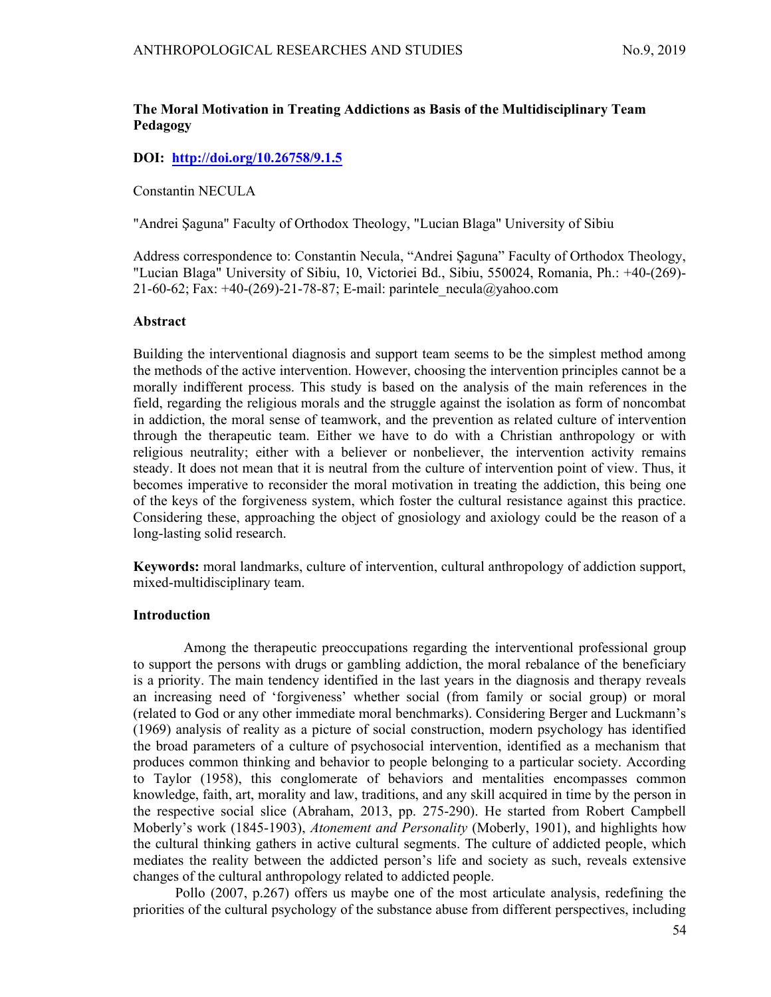# The Moral Motivation in Treating Addictions as Basis of the Multidisciplinary Team Pedagogy

### DOI: http://doi.org/10.26758/9.1.5

Constantin NECULA

"Andrei Şaguna" Faculty of Orthodox Theology, "Lucian Blaga" University of Sibiu

Address correspondence to: Constantin Necula, "Andrei Şaguna" Faculty of Orthodox Theology, "Lucian Blaga" University of Sibiu, 10, Victoriei Bd., Sibiu, 550024, Romania, Ph.: +40-(269)- 21-60-62; Fax:  $+40-(269)-21-78-87$ ; E-mail: parintele necula@yahoo.com

#### Abstract

Building the interventional diagnosis and support team seems to be the simplest method among the methods of the active intervention. However, choosing the intervention principles cannot be a morally indifferent process. This study is based on the analysis of the main references in the field, regarding the religious morals and the struggle against the isolation as form of noncombat in addiction, the moral sense of teamwork, and the prevention as related culture of intervention through the therapeutic team. Either we have to do with a Christian anthropology or with religious neutrality; either with a believer or nonbeliever, the intervention activity remains steady. It does not mean that it is neutral from the culture of intervention point of view. Thus, it becomes imperative to reconsider the moral motivation in treating the addiction, this being one of the keys of the forgiveness system, which foster the cultural resistance against this practice. Considering these, approaching the object of gnosiology and axiology could be the reason of a long-lasting solid research.

Keywords: moral landmarks, culture of intervention, cultural anthropology of addiction support, mixed-multidisciplinary team.

## Introduction

 Among the therapeutic preoccupations regarding the interventional professional group to support the persons with drugs or gambling addiction, the moral rebalance of the beneficiary is a priority. The main tendency identified in the last years in the diagnosis and therapy reveals an increasing need of 'forgiveness' whether social (from family or social group) or moral (related to God or any other immediate moral benchmarks). Considering Berger and Luckmann's (1969) analysis of reality as a picture of social construction, modern psychology has identified the broad parameters of a culture of psychosocial intervention, identified as a mechanism that produces common thinking and behavior to people belonging to a particular society. According to Taylor (1958), this conglomerate of behaviors and mentalities encompasses common knowledge, faith, art, morality and law, traditions, and any skill acquired in time by the person in the respective social slice (Abraham, 2013, pp. 275-290). He started from Robert Campbell Moberly's work (1845-1903), *Atonement and Personality* (Moberly, 1901), and highlights how the cultural thinking gathers in active cultural segments. The culture of addicted people, which mediates the reality between the addicted person's life and society as such, reveals extensive changes of the cultural anthropology related to addicted people.

Pollo (2007, p.267) offers us maybe one of the most articulate analysis, redefining the priorities of the cultural psychology of the substance abuse from different perspectives, including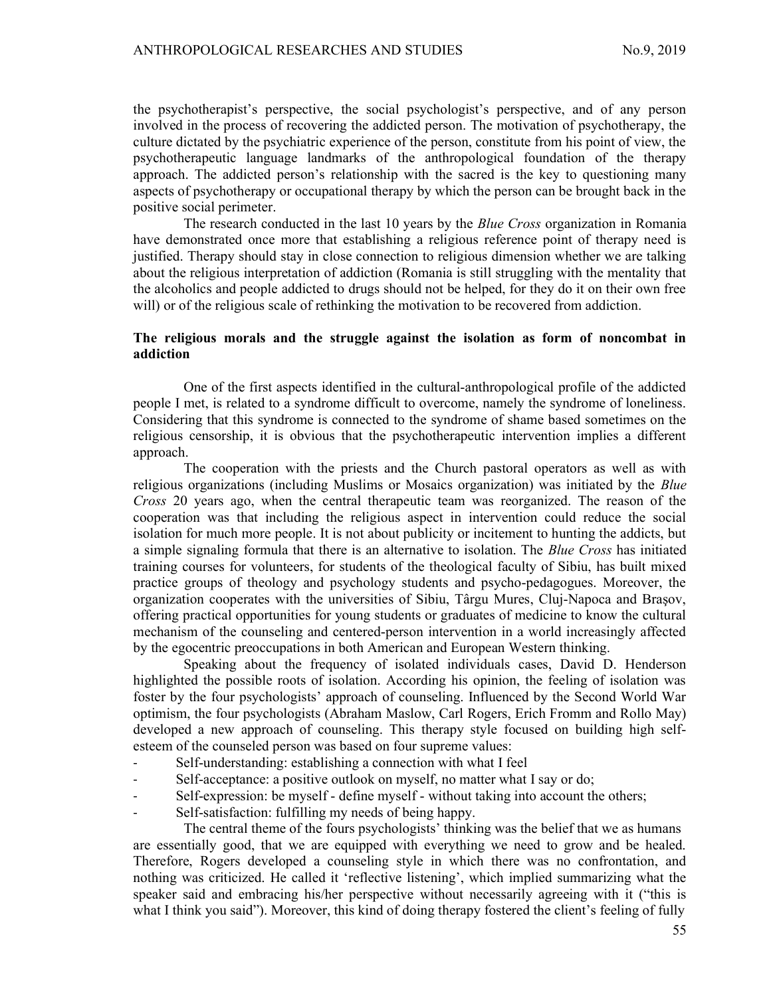the psychotherapist's perspective, the social psychologist's perspective, and of any person involved in the process of recovering the addicted person. The motivation of psychotherapy, the culture dictated by the psychiatric experience of the person, constitute from his point of view, the psychotherapeutic language landmarks of the anthropological foundation of the therapy approach. The addicted person's relationship with the sacred is the key to questioning many aspects of psychotherapy or occupational therapy by which the person can be brought back in the positive social perimeter.

The research conducted in the last 10 years by the Blue Cross organization in Romania have demonstrated once more that establishing a religious reference point of therapy need is justified. Therapy should stay in close connection to religious dimension whether we are talking about the religious interpretation of addiction (Romania is still struggling with the mentality that the alcoholics and people addicted to drugs should not be helped, for they do it on their own free will) or of the religious scale of rethinking the motivation to be recovered from addiction.

## The religious morals and the struggle against the isolation as form of noncombat in addiction

One of the first aspects identified in the cultural-anthropological profile of the addicted people I met, is related to a syndrome difficult to overcome, namely the syndrome of loneliness. Considering that this syndrome is connected to the syndrome of shame based sometimes on the religious censorship, it is obvious that the psychotherapeutic intervention implies a different approach.

The cooperation with the priests and the Church pastoral operators as well as with religious organizations (including Muslims or Mosaics organization) was initiated by the *Blue* Cross 20 years ago, when the central therapeutic team was reorganized. The reason of the cooperation was that including the religious aspect in intervention could reduce the social isolation for much more people. It is not about publicity or incitement to hunting the addicts, but a simple signaling formula that there is an alternative to isolation. The *Blue Cross* has initiated training courses for volunteers, for students of the theological faculty of Sibiu, has built mixed practice groups of theology and psychology students and psycho-pedagogues. Moreover, the organization cooperates with the universities of Sibiu, Târgu Mures, Cluj-Napoca and Braşov, offering practical opportunities for young students or graduates of medicine to know the cultural mechanism of the counseling and centered-person intervention in a world increasingly affected by the egocentric preoccupations in both American and European Western thinking.

Speaking about the frequency of isolated individuals cases, David D. Henderson highlighted the possible roots of isolation. According his opinion, the feeling of isolation was foster by the four psychologists' approach of counseling. Influenced by the Second World War optimism, the four psychologists (Abraham Maslow, Carl Rogers, Erich Fromm and Rollo May) developed a new approach of counseling. This therapy style focused on building high selfesteem of the counseled person was based on four supreme values:

- Self-understanding: establishing a connection with what I feel
- Self-acceptance: a positive outlook on myself, no matter what I say or do;
- Self-expression: be myself define myself without taking into account the others;
- Self-satisfaction: fulfilling my needs of being happy.

The central theme of the fours psychologists' thinking was the belief that we as humans are essentially good, that we are equipped with everything we need to grow and be healed. Therefore, Rogers developed a counseling style in which there was no confrontation, and nothing was criticized. He called it 'reflective listening', which implied summarizing what the speaker said and embracing his/her perspective without necessarily agreeing with it ("this is what I think you said"). Moreover, this kind of doing therapy fostered the client's feeling of fully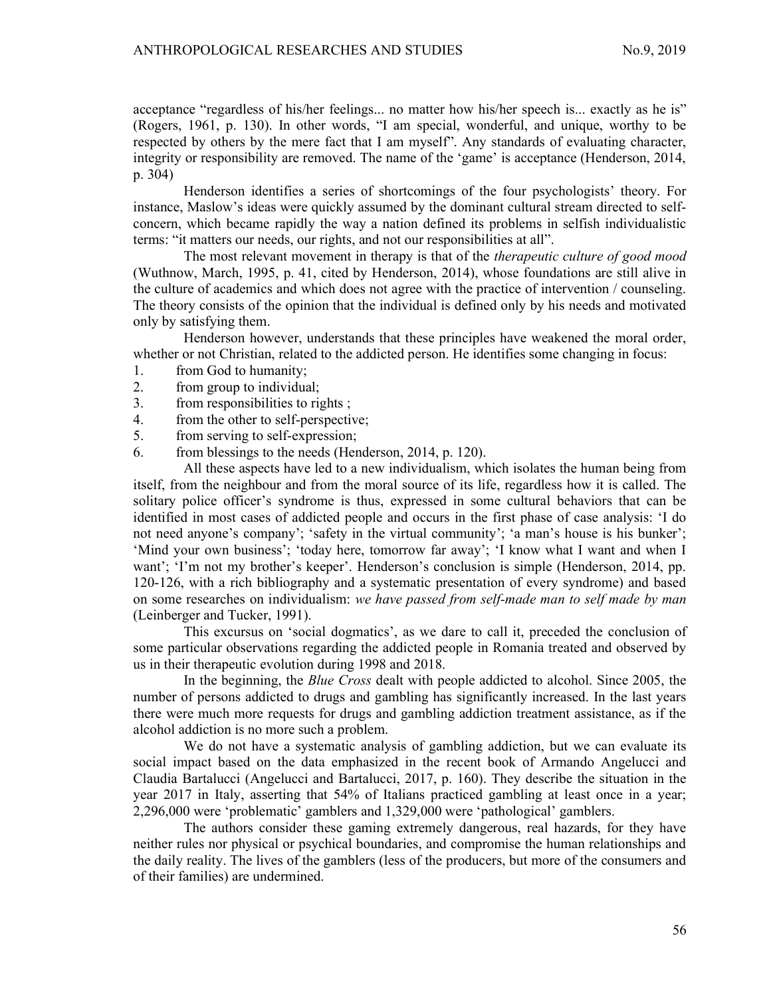acceptance "regardless of his/her feelings... no matter how his/her speech is... exactly as he is" (Rogers, 1961, p. 130). In other words, "I am special, wonderful, and unique, worthy to be respected by others by the mere fact that I am myself". Any standards of evaluating character, integrity or responsibility are removed. The name of the 'game' is acceptance (Henderson, 2014, p. 304)

Henderson identifies a series of shortcomings of the four psychologists' theory. For instance, Maslow's ideas were quickly assumed by the dominant cultural stream directed to selfconcern, which became rapidly the way a nation defined its problems in selfish individualistic terms: "it matters our needs, our rights, and not our responsibilities at all".

The most relevant movement in therapy is that of the *therapeutic culture of good mood* (Wuthnow, March, 1995, p. 41, cited by Henderson, 2014), whose foundations are still alive in the culture of academics and which does not agree with the practice of intervention / counseling. The theory consists of the opinion that the individual is defined only by his needs and motivated only by satisfying them.

Henderson however, understands that these principles have weakened the moral order, whether or not Christian, related to the addicted person. He identifies some changing in focus:

- 1. from God to humanity;
- 2. from group to individual;
- 3. from responsibilities to rights ;
- 4. from the other to self-perspective;
- 5. from serving to self-expression;
- 6. from blessings to the needs (Henderson, 2014, p. 120).

All these aspects have led to a new individualism, which isolates the human being from itself, from the neighbour and from the moral source of its life, regardless how it is called. The solitary police officer's syndrome is thus, expressed in some cultural behaviors that can be identified in most cases of addicted people and occurs in the first phase of case analysis: 'I do not need anyone's company'; 'safety in the virtual community'; 'a man's house is his bunker'; 'Mind your own business'; 'today here, tomorrow far away'; 'I know what I want and when I want'; 'I'm not my brother's keeper'. Henderson's conclusion is simple (Henderson, 2014, pp. 120-126, with a rich bibliography and a systematic presentation of every syndrome) and based on some researches on individualism: we have passed from self-made man to self made by man (Leinberger and Tucker, 1991).

This excursus on 'social dogmatics', as we dare to call it, preceded the conclusion of some particular observations regarding the addicted people in Romania treated and observed by us in their therapeutic evolution during 1998 and 2018.

In the beginning, the *Blue Cross* dealt with people addicted to alcohol. Since 2005, the number of persons addicted to drugs and gambling has significantly increased. In the last years there were much more requests for drugs and gambling addiction treatment assistance, as if the alcohol addiction is no more such a problem.

We do not have a systematic analysis of gambling addiction, but we can evaluate its social impact based on the data emphasized in the recent book of Armando Angelucci and Claudia Bartalucci (Angelucci and Bartalucci, 2017, p. 160). They describe the situation in the year 2017 in Italy, asserting that 54% of Italians practiced gambling at least once in a year; 2,296,000 were 'problematic' gamblers and 1,329,000 were 'pathological' gamblers.

The authors consider these gaming extremely dangerous, real hazards, for they have neither rules nor physical or psychical boundaries, and compromise the human relationships and the daily reality. The lives of the gamblers (less of the producers, but more of the consumers and of their families) are undermined.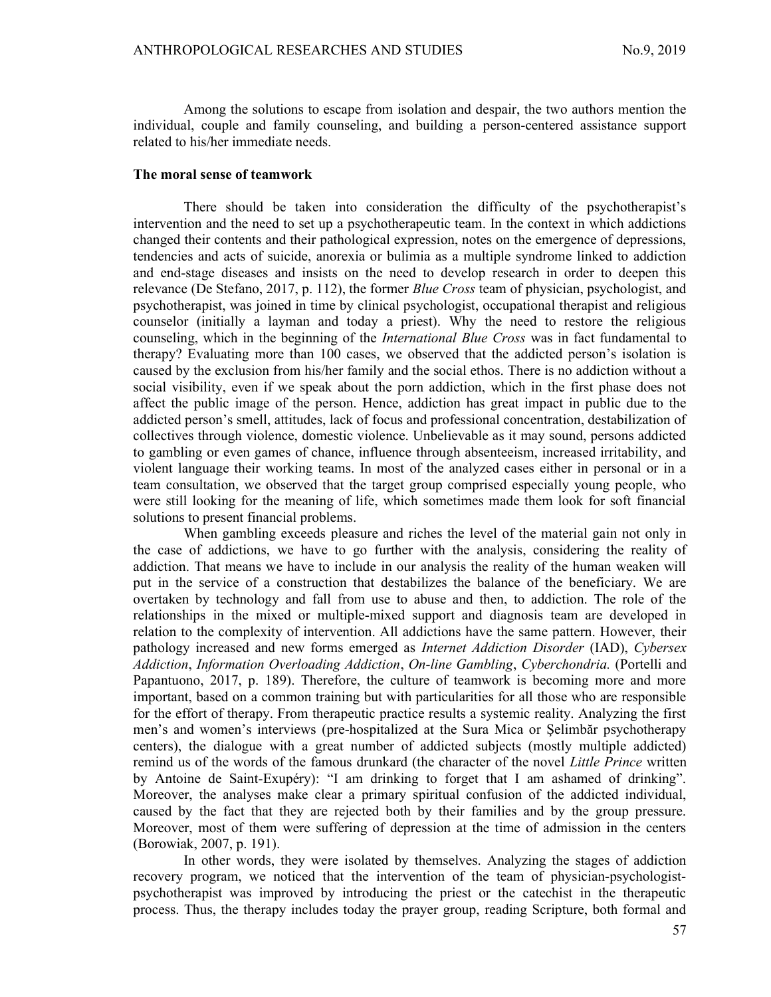Among the solutions to escape from isolation and despair, the two authors mention the individual, couple and family counseling, and building a person-centered assistance support related to his/her immediate needs.

### The moral sense of teamwork

There should be taken into consideration the difficulty of the psychotherapist's intervention and the need to set up a psychotherapeutic team. In the context in which addictions changed their contents and their pathological expression, notes on the emergence of depressions, tendencies and acts of suicide, anorexia or bulimia as a multiple syndrome linked to addiction and end-stage diseases and insists on the need to develop research in order to deepen this relevance (De Stefano, 2017, p. 112), the former *Blue Cross* team of physician, psychologist, and psychotherapist, was joined in time by clinical psychologist, occupational therapist and religious counselor (initially a layman and today a priest). Why the need to restore the religious counseling, which in the beginning of the *International Blue Cross* was in fact fundamental to therapy? Evaluating more than 100 cases, we observed that the addicted person's isolation is caused by the exclusion from his/her family and the social ethos. There is no addiction without a social visibility, even if we speak about the porn addiction, which in the first phase does not affect the public image of the person. Hence, addiction has great impact in public due to the addicted person's smell, attitudes, lack of focus and professional concentration, destabilization of collectives through violence, domestic violence. Unbelievable as it may sound, persons addicted to gambling or even games of chance, influence through absenteeism, increased irritability, and violent language their working teams. In most of the analyzed cases either in personal or in a team consultation, we observed that the target group comprised especially young people, who were still looking for the meaning of life, which sometimes made them look for soft financial solutions to present financial problems.

When gambling exceeds pleasure and riches the level of the material gain not only in the case of addictions, we have to go further with the analysis, considering the reality of addiction. That means we have to include in our analysis the reality of the human weaken will put in the service of a construction that destabilizes the balance of the beneficiary. We are overtaken by technology and fall from use to abuse and then, to addiction. The role of the relationships in the mixed or multiple-mixed support and diagnosis team are developed in relation to the complexity of intervention. All addictions have the same pattern. However, their pathology increased and new forms emerged as Internet Addiction Disorder (IAD), Cybersex Addiction, Information Overloading Addiction, On-line Gambling, Cyberchondria. (Portelli and Papantuono, 2017, p. 189). Therefore, the culture of teamwork is becoming more and more important, based on a common training but with particularities for all those who are responsible for the effort of therapy. From therapeutic practice results a systemic reality. Analyzing the first men's and women's interviews (pre-hospitalized at the Sura Mica or Şelimbăr psychotherapy centers), the dialogue with a great number of addicted subjects (mostly multiple addicted) remind us of the words of the famous drunkard (the character of the novel Little Prince written by Antoine de Saint-Exupéry): "I am drinking to forget that I am ashamed of drinking". Moreover, the analyses make clear a primary spiritual confusion of the addicted individual, caused by the fact that they are rejected both by their families and by the group pressure. Moreover, most of them were suffering of depression at the time of admission in the centers (Borowiak, 2007, p. 191).

In other words, they were isolated by themselves. Analyzing the stages of addiction recovery program, we noticed that the intervention of the team of physician-psychologistpsychotherapist was improved by introducing the priest or the catechist in the therapeutic process. Thus, the therapy includes today the prayer group, reading Scripture, both formal and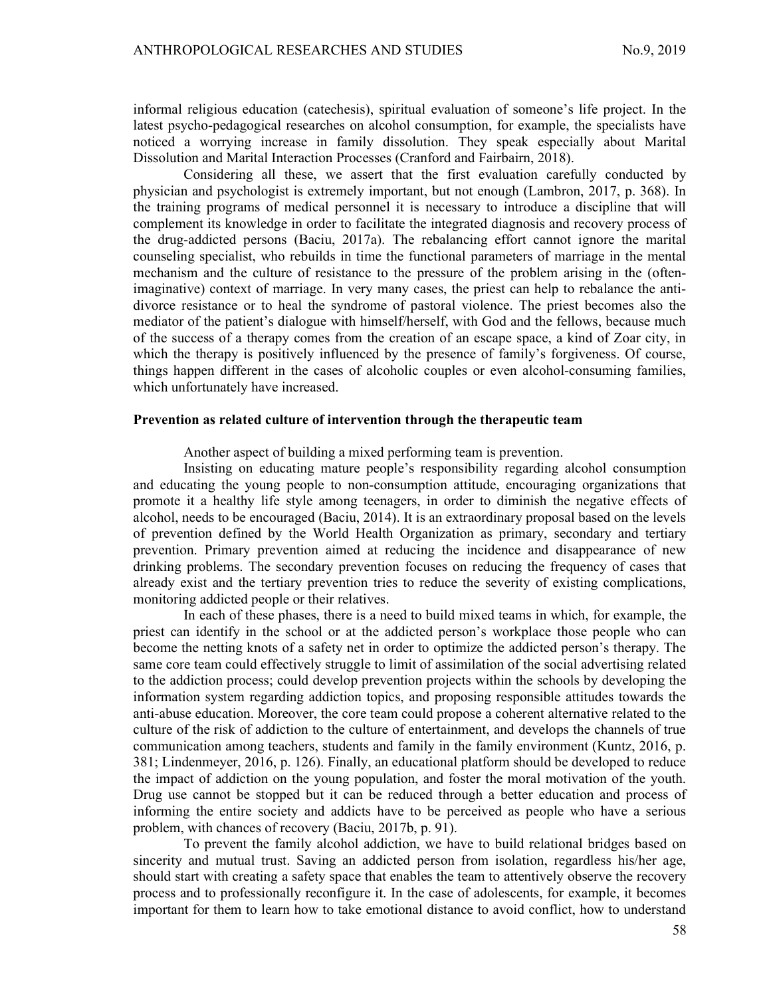informal religious education (catechesis), spiritual evaluation of someone's life project. In the latest psycho-pedagogical researches on alcohol consumption, for example, the specialists have noticed a worrying increase in family dissolution. They speak especially about Marital Dissolution and Marital Interaction Processes (Cranford and Fairbairn, 2018).

Considering all these, we assert that the first evaluation carefully conducted by physician and psychologist is extremely important, but not enough (Lambron, 2017, p. 368). In the training programs of medical personnel it is necessary to introduce a discipline that will complement its knowledge in order to facilitate the integrated diagnosis and recovery process of the drug-addicted persons (Baciu, 2017a). The rebalancing effort cannot ignore the marital counseling specialist, who rebuilds in time the functional parameters of marriage in the mental mechanism and the culture of resistance to the pressure of the problem arising in the (oftenimaginative) context of marriage. In very many cases, the priest can help to rebalance the antidivorce resistance or to heal the syndrome of pastoral violence. The priest becomes also the mediator of the patient's dialogue with himself/herself, with God and the fellows, because much of the success of a therapy comes from the creation of an escape space, a kind of Zoar city, in which the therapy is positively influenced by the presence of family's forgiveness. Of course, things happen different in the cases of alcoholic couples or even alcohol-consuming families, which unfortunately have increased.

#### Prevention as related culture of intervention through the therapeutic team

Another aspect of building a mixed performing team is prevention.

Insisting on educating mature people's responsibility regarding alcohol consumption and educating the young people to non-consumption attitude, encouraging organizations that promote it a healthy life style among teenagers, in order to diminish the negative effects of alcohol, needs to be encouraged (Baciu, 2014). It is an extraordinary proposal based on the levels of prevention defined by the World Health Organization as primary, secondary and tertiary prevention. Primary prevention aimed at reducing the incidence and disappearance of new drinking problems. The secondary prevention focuses on reducing the frequency of cases that already exist and the tertiary prevention tries to reduce the severity of existing complications, monitoring addicted people or their relatives.

In each of these phases, there is a need to build mixed teams in which, for example, the priest can identify in the school or at the addicted person's workplace those people who can become the netting knots of a safety net in order to optimize the addicted person's therapy. The same core team could effectively struggle to limit of assimilation of the social advertising related to the addiction process; could develop prevention projects within the schools by developing the information system regarding addiction topics, and proposing responsible attitudes towards the anti-abuse education. Moreover, the core team could propose a coherent alternative related to the culture of the risk of addiction to the culture of entertainment, and develops the channels of true communication among teachers, students and family in the family environment (Kuntz, 2016, p. 381; Lindenmeyer, 2016, p. 126). Finally, an educational platform should be developed to reduce the impact of addiction on the young population, and foster the moral motivation of the youth. Drug use cannot be stopped but it can be reduced through a better education and process of informing the entire society and addicts have to be perceived as people who have a serious problem, with chances of recovery (Baciu, 2017b, p. 91).

To prevent the family alcohol addiction, we have to build relational bridges based on sincerity and mutual trust. Saving an addicted person from isolation, regardless his/her age, should start with creating a safety space that enables the team to attentively observe the recovery process and to professionally reconfigure it. In the case of adolescents, for example, it becomes important for them to learn how to take emotional distance to avoid conflict, how to understand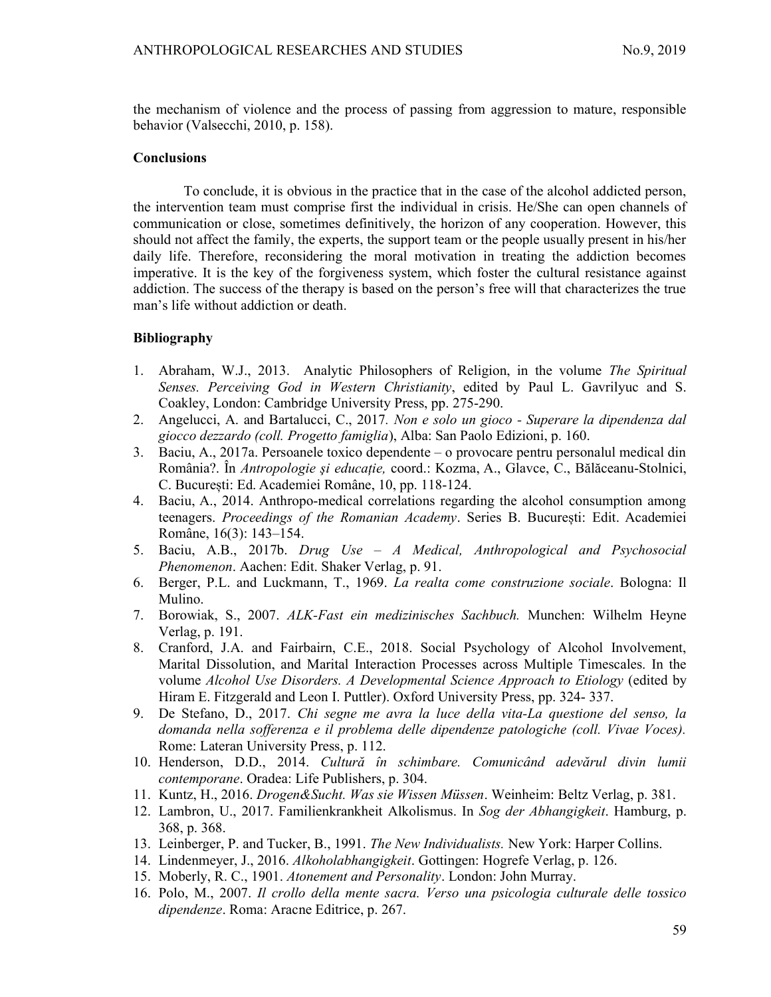the mechanism of violence and the process of passing from aggression to mature, responsible behavior (Valsecchi, 2010, p. 158).

## **Conclusions**

To conclude, it is obvious in the practice that in the case of the alcohol addicted person, the intervention team must comprise first the individual in crisis. He/She can open channels of communication or close, sometimes definitively, the horizon of any cooperation. However, this should not affect the family, the experts, the support team or the people usually present in his/her daily life. Therefore, reconsidering the moral motivation in treating the addiction becomes imperative. It is the key of the forgiveness system, which foster the cultural resistance against addiction. The success of the therapy is based on the person's free will that characterizes the true man's life without addiction or death.

# Bibliography

- 1. Abraham, W.J., 2013. Analytic Philosophers of Religion, in the volume The Spiritual Senses. Perceiving God in Western Christianity, edited by Paul L. Gavrilyuc and S. Coakley, London: Cambridge University Press, pp. 275-290.
- 2. Angelucci, A. and Bartalucci, C., 2017. Non e solo un gioco Superare la dipendenza dal giocco dezzardo (coll. Progetto famiglia), Alba: San Paolo Edizioni, p. 160.
- 3. Baciu, A., 2017a. Persoanele toxico dependente o provocare pentru personalul medical din România?. În Antropologie şi educație, coord.: Kozma, A., Glavce, C., Bălăceanu-Stolnici, C. București: Ed. Academiei Române, 10, pp. 118-124.
- 4. Baciu, A., 2014. Anthropo-medical correlations regarding the alcohol consumption among teenagers. Proceedings of the Romanian Academy. Series B. București: Edit. Academiei Române, 16(3): 143–154.
- 5. Baciu, A.B., 2017b. Drug Use A Medical, Anthropological and Psychosocial Phenomenon. Aachen: Edit. Shaker Verlag, p. 91.
- 6. Berger, P.L. and Luckmann, T., 1969. La realta come construzione sociale. Bologna: Il Mulino.
- 7. Borowiak, S., 2007. ALK-Fast ein medizinisches Sachbuch. Munchen: Wilhelm Heyne Verlag, p. 191.
- 8. Cranford, J.A. and Fairbairn, C.E., 2018. Social Psychology of Alcohol Involvement, Marital Dissolution, and Marital Interaction Processes across Multiple Timescales. In the volume Alcohol Use Disorders. A Developmental Science Approach to Etiology (edited by Hiram E. Fitzgerald and Leon I. Puttler). Oxford University Press, pp. 324- 337.
- 9. De Stefano, D., 2017. Chi segne me avra la luce della vita-La questione del senso, la domanda nella sofferenza e il problema delle dipendenze patologiche (coll. Vivae Voces). Rome: Lateran University Press, p. 112.
- 10. Henderson, D.D., 2014. Cultură în schimbare. Comunicând adevărul divin lumii contemporane. Oradea: Life Publishers, p. 304.
- 11. Kuntz, H., 2016. Drogen&Sucht. Was sie Wissen Müssen. Weinheim: Beltz Verlag, p. 381.
- 12. Lambron, U., 2017. Familienkrankheit Alkolismus. In Sog der Abhangigkeit. Hamburg, p. 368, p. 368.
- 13. Leinberger, P. and Tucker, B., 1991. The New Individualists. New York: Harper Collins.
- 14. Lindenmeyer, J., 2016. Alkoholabhangigkeit. Gottingen: Hogrefe Verlag, p. 126.
- 15. Moberly, R. C., 1901. Atonement and Personality. London: John Murray.
- 16. Polo, M., 2007. Il crollo della mente sacra. Verso una psicologia culturale delle tossico dipendenze. Roma: Aracne Editrice, p. 267.